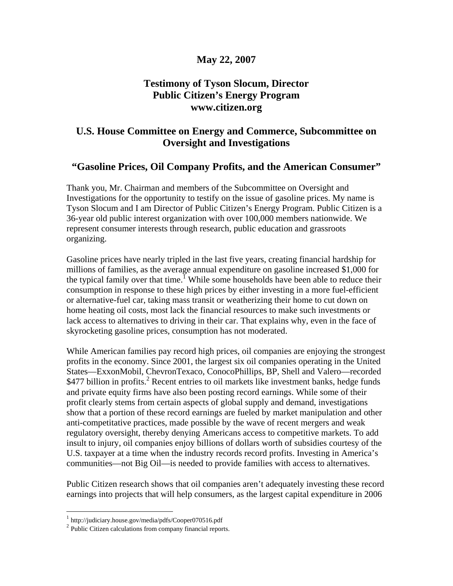# **May 22, 2007**

# **Testimony of Tyson Slocum, Director Public Citizen's Energy Program www.citizen.org**

# **U.S. House Committee on Energy and Commerce, Subcommittee on Oversight and Investigations**

# **"Gasoline Prices, Oil Company Profits, and the American Consumer"**

Thank you, Mr. Chairman and members of the Subcommittee on Oversight and Investigations for the opportunity to testify on the issue of gasoline prices. My name is Tyson Slocum and I am Director of Public Citizen's Energy Program. Public Citizen is a 36-year old public interest organization with over 100,000 members nationwide. We represent consumer interests through research, public education and grassroots organizing.

Gasoline prices have nearly tripled in the last five years, creating financial hardship for millions of families, as the average annual expenditure on gasoline increased \$1,000 for the typical family over that time.<sup> $\overline{1}$ </sup> While some households have been able to reduce their consumption in response to these high prices by either investing in a more fuel-efficient or alternative-fuel car, taking mass transit or weatherizing their home to cut down on home heating oil costs, most lack the financial resources to make such investments or lack access to alternatives to driving in their car. That explains why, even in the face of skyrocketing gasoline prices, consumption has not moderated.

While American families pay record high prices, oil companies are enjoying the strongest profits in the economy. Since 2001, the largest six oil companies operating in the United States—ExxonMobil, ChevronTexaco, ConocoPhillips, BP, Shell and Valero—recorded \$477 billion in profits.<sup>2</sup> Recent entries to oil markets like investment banks, hedge funds and private equity firms have also been posting record earnings. While some of their profit clearly stems from certain aspects of global supply and demand, investigations show that a portion of these record earnings are fueled by market manipulation and other anti-competitative practices, made possible by the wave of recent mergers and weak regulatory oversight, thereby denying Americans access to competitive markets. To add insult to injury, oil companies enjoy billions of dollars worth of subsidies courtesy of the U.S. taxpayer at a time when the industry records record profits. Investing in America's communities—not Big Oil—is needed to provide families with access to alternatives.

Public Citizen research shows that oil companies aren't adequately investing these record earnings into projects that will help consumers, as the largest capital expenditure in 2006

<sup>1</sup> http://judiciary.house.gov/media/pdfs/Cooper070516.pdf

<sup>&</sup>lt;sup>2</sup> Public Citizen calculations from company financial reports.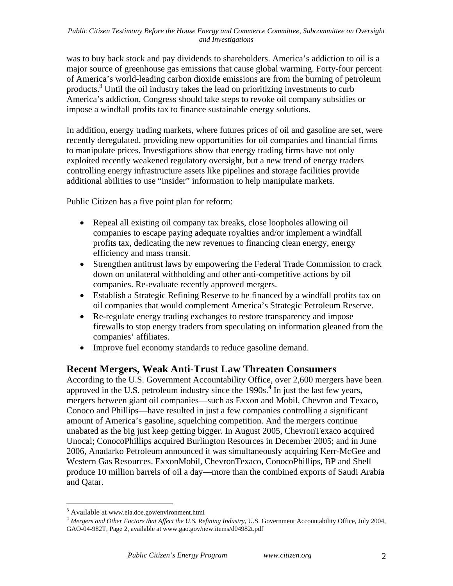was to buy back stock and pay dividends to shareholders. America's addiction to oil is a major source of greenhouse gas emissions that cause global warming. Forty-four percent of America's world-leading carbon dioxide emissions are from the burning of petroleum products.3 Until the oil industry takes the lead on prioritizing investments to curb America's addiction, Congress should take steps to revoke oil company subsidies or impose a windfall profits tax to finance sustainable energy solutions.

In addition, energy trading markets, where futures prices of oil and gasoline are set, were recently deregulated, providing new opportunities for oil companies and financial firms to manipulate prices. Investigations show that energy trading firms have not only exploited recently weakened regulatory oversight, but a new trend of energy traders controlling energy infrastructure assets like pipelines and storage facilities provide additional abilities to use "insider" information to help manipulate markets.

Public Citizen has a five point plan for reform:

- Repeal all existing oil company tax breaks, close loopholes allowing oil companies to escape paying adequate royalties and/or implement a windfall profits tax, dedicating the new revenues to financing clean energy, energy efficiency and mass transit.
- Strengthen antitrust laws by empowering the Federal Trade Commission to crack down on unilateral withholding and other anti-competitive actions by oil companies. Re-evaluate recently approved mergers.
- Establish a Strategic Refining Reserve to be financed by a windfall profits tax on oil companies that would complement America's Strategic Petroleum Reserve.
- Re-regulate energy trading exchanges to restore transparency and impose firewalls to stop energy traders from speculating on information gleaned from the companies' affiliates.
- Improve fuel economy standards to reduce gasoline demand.

# **Recent Mergers, Weak Anti-Trust Law Threaten Consumers**

According to the U.S. Government Accountability Office, over 2,600 mergers have been approved in the U.S. petroleum industry since the  $1990s<sup>4</sup>$  In just the last few years, mergers between giant oil companies—such as Exxon and Mobil, Chevron and Texaco, Conoco and Phillips—have resulted in just a few companies controlling a significant amount of America's gasoline, squelching competition. And the mergers continue unabated as the big just keep getting bigger. In August 2005, ChevronTexaco acquired Unocal; ConocoPhillips acquired Burlington Resources in December 2005; and in June 2006, Anadarko Petroleum announced it was simultaneously acquiring Kerr-McGee and Western Gas Resources. ExxonMobil, ChevronTexaco, ConocoPhillips, BP and Shell produce 10 million barrels of oil a day—more than the combined exports of Saudi Arabia and Qatar.

<sup>&</sup>lt;sup>3</sup> Available at www.eia.doe.gov/environment.html

<sup>&</sup>lt;sup>4</sup> Mergers and Other Factors that Affect the U.S. Refining Industry, U.S. Government Accountability Office, July 2004, GAO-04-982T, Page 2, available at www.gao.gov/new.items/d04982t.pdf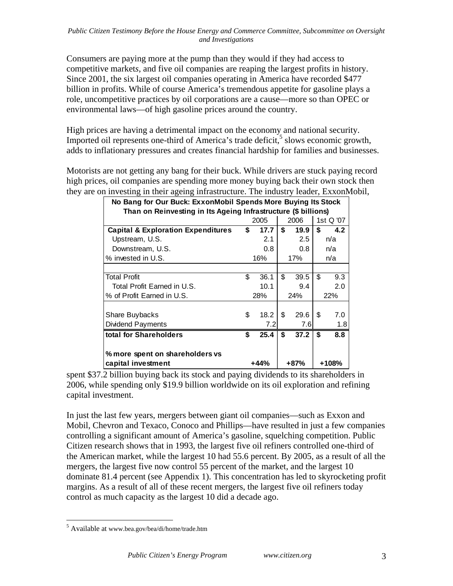Consumers are paying more at the pump than they would if they had access to competitive market*s*, and five oil companies are reaping the largest profits in history. Since 2001, the six largest oil companies operating in America have recorded \$477 billion in profits. While of course America's tremendous appetite for gasoline plays a role, uncompetitive practices by oil corporations are a cause—more so than OPEC or environmental laws—of high gasoline prices around the country.

High prices are having a detrimental impact on the economy and national security. Imported oil represents one-third of America's trade deficit, $\frac{5}{5}$  slows economic growth, adds to inflationary pressures and creates financial hardship for families and businesses.

Motorists are not getting any bang for their buck. While drivers are stuck paying record high prices, oil companies are spending more money buying back their own stock then they are on investing in their ageing infrastructure. The industry leader, ExxonMobil,

| No Bang for Our Buck: ExxonMobil Spends More Buying Its Stock  |      |      |     |           |       |     |  |  |  |  |
|----------------------------------------------------------------|------|------|-----|-----------|-------|-----|--|--|--|--|
| Than on Reinvesting in Its Ageing Infrastructure (\$ billions) |      |      |     |           |       |     |  |  |  |  |
|                                                                |      | 2006 |     | 1st Q '07 |       |     |  |  |  |  |
| <b>Capital &amp; Exploration Expenditures</b>                  | \$   | 17.7 | \$  | 19.9      | \$    | 4.2 |  |  |  |  |
| Upstream, U.S.                                                 |      | 2.1  |     | 2.5       |       | n/a |  |  |  |  |
| Downstream, U.S.                                               |      | 0.8  |     | 0.8       |       | n/a |  |  |  |  |
| % invested in U.S.                                             |      | 16%  |     | 17%       |       | n/a |  |  |  |  |
|                                                                |      |      |     |           |       |     |  |  |  |  |
| <b>Total Profit</b>                                            | \$   | 36.1 | \$  | 39.5      | \$    | 9.3 |  |  |  |  |
| Total Profit Earned in U.S.                                    |      | 10.1 |     | 9.4       |       | 2.0 |  |  |  |  |
| % of Profit Earned in U.S.                                     |      | 28%  | 24% |           | 22%   |     |  |  |  |  |
|                                                                |      |      |     |           |       |     |  |  |  |  |
| Share Buybacks                                                 | \$   | 18.2 | \$  | 29.6      | \$    | 7.0 |  |  |  |  |
| <b>Dividend Payments</b>                                       |      | 7.2  |     | 7.6       |       | 1.8 |  |  |  |  |
| total for Shareholders                                         | \$   | 25.4 | \$  | 37.2      | \$    | 8.8 |  |  |  |  |
|                                                                |      |      |     |           |       |     |  |  |  |  |
| % more spent on shareholders vs                                |      |      |     |           |       |     |  |  |  |  |
| capital investment                                             | +44% |      |     | +87%      | +108% |     |  |  |  |  |

spent \$37.2 billion buying back its stock and paying dividends to its shareholders in 2006, while spending only \$19.9 billion worldwide on its oil exploration and refining capital investment.

In just the last few years, mergers between giant oil companies—such as Exxon and Mobil, Chevron and Texaco, Conoco and Phillips—have resulted in just a few companies controlling a significant amount of America's gasoline, squelching competition. Public Citizen research shows that in 1993, the largest five oil refiners controlled one-third of the American market, while the largest 10 had 55.6 percent. By 2005, as a result of all the mergers, the largest five now control 55 percent of the market, and the largest 10 dominate 81.4 percent (see Appendix 1). This concentration has led to skyrocketing profit margins. As a result of all of these recent mergers, the largest five oil refiners today control as much capacity as the largest 10 did a decade ago.

<sup>&</sup>lt;sup>5</sup> Available at www.bea.gov/bea/di/home/trade.htm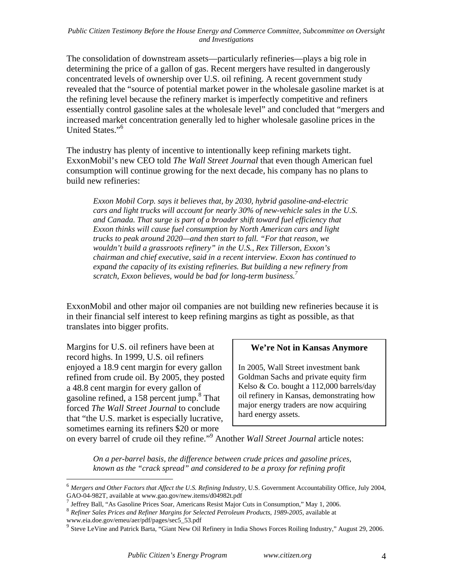The consolidation of downstream assets—particularly refineries—plays a big role in determining the price of a gallon of gas. Recent mergers have resulted in dangerously concentrated levels of ownership over U.S. oil refining. A recent government study revealed that the "source of potential market power in the wholesale gasoline market is at the refining level because the refinery market is imperfectly competitive and refiners essentially control gasoline sales at the wholesale level" and concluded that "mergers and increased market concentration generally led to higher wholesale gasoline prices in the United States."<sup>6</sup>

The industry has plenty of incentive to intentionally keep refining markets tight. ExxonMobil's new CEO told *The Wall Street Journal* that even though American fuel consumption will continue growing for the next decade, his company has no plans to build new refineries:

*Exxon Mobil Corp. says it believes that, by 2030, hybrid gasoline-and-electric cars and light trucks will account for nearly 30% of new-vehicle sales in the U.S.*  and Canada. That surge is part of a broader shift toward fuel efficiency that *Exxon thinks will cause fuel consumption by North American cars and light trucks to peak around 2020—and then start to fall. "For that reason, we wouldn't build a grassroots refinery" in the U.S., Rex Tillerson, Exxon's chairman and chief executive, said in a recent interview. Exxon has continued to expand the capacity of its existing refineries. But building a new refinery from scratch, Exxon believes, would be bad for long-term business.7*

ExxonMobil and other major oil companies are not building new refineries because it is in their financial self interest to keep refining margins as tight as possible, as that translates into bigger profits.

Margins for U.S. oil refiners have been at record highs. In 1999, U.S. oil refiners enjoyed a 18.9 cent margin for every gallon refined from crude oil. By 2005, they posted a 48.8 cent margin for every gallon of gasoline refined, a 158 percent jump.<sup>8</sup> That forced *The Wall Street Journal* to conclude that "the U.S. market is especially lucrative, sometimes earning its refiners \$20 or more

 $\overline{a}$ 

# **We're Not in Kansas Anymore**

In 2005, Wall Street investment bank Goldman Sachs and private equity firm Kelso & Co. bought a 112,000 barrels/day oil refinery in Kansas, demonstrating how major energy traders are now acquiring hard energy assets.

on every barrel of crude oil they refine."<sup>9</sup> Another *Wall Street Journal* article notes:

*On a per-barrel basis, the difference between crude prices and gasoline prices, known as the "crack spread" and considered to be a proxy for refining profit* 

<sup>6</sup> *Mergers and Other Factors that Affect the U.S. Refining Industry*, U.S. Government Accountability Office, July 2004,

<sup>&</sup>lt;sup>7</sup> Jeffrey Ball, "As Gasoline Prices Soar, Americans Resist Major Cuts in Consumption," May 1, 2006.<br><sup>8</sup> Refiner Sales Prices and Refiner Margins for Selected Petroleum Products, 1989-2005, available at www.eia.doe.gov/emeu/aer/pdf/pages/sec5\_53.pdf

<sup>&</sup>lt;sup>9</sup> Steve LeVine and Patrick Barta, "Giant New Oil Refinery in India Shows Forces Roiling Industry," August 29, 2006.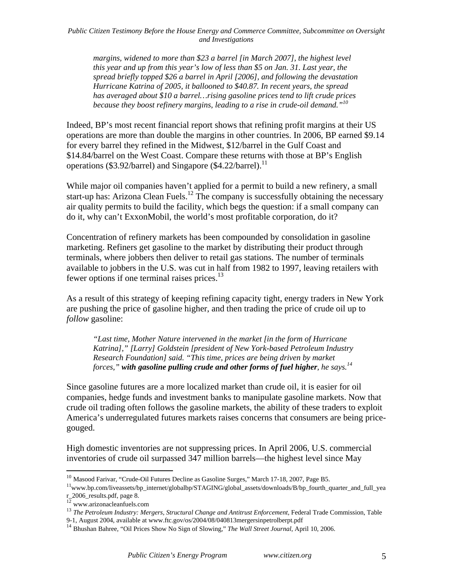*margins, widened to more than \$23 a barrel [in March 2007], the highest level this year and up from this year's low of less than \$5 on Jan. 31. Last year, the spread briefly topped \$26 a barrel in April [2006], and following the devastation Hurricane Katrina of 2005, it ballooned to \$40.87. In recent years, the spread has averaged about \$10 a barrel…rising gasoline prices tend to lift crude prices because they boost refinery margins, leading to a rise in crude-oil demand."10*

Indeed, BP's most recent financial report shows that refining profit margins at their US operations are more than double the margins in other countries. In 2006, BP earned \$9.14 for every barrel they refined in the Midwest, \$12/barrel in the Gulf Coast and \$14.84/barrel on the West Coast. Compare these returns with those at BP's English operations (\$3.92/barrel) and Singapore (\$4.22/barrel).<sup>11</sup>

While major oil companies haven't applied for a permit to build a new refinery, a small start-up has: Arizona Clean Fuels.<sup>12</sup> The company is successfully obtaining the necessary air quality permits to build the facility, which begs the question: if a small company can do it, why can't ExxonMobil, the world's most profitable corporation, do it?

Concentration of refinery markets has been compounded by consolidation in gasoline marketing. Refiners get gasoline to the market by distributing their product through terminals, where jobbers then deliver to retail gas stations. The number of terminals available to jobbers in the U.S. was cut in half from 1982 to 1997, leaving retailers with fewer options if one terminal raises prices.<sup>13</sup>

As a result of this strategy of keeping refining capacity tight, energy traders in New York are pushing the price of gasoline higher, and then trading the price of crude oil up to *follow* gasoline:

*"Last time, Mother Nature intervened in the market [in the form of Hurricane Katrina]," [Larry] Goldstein [president of New York-based Petroleum Industry Research Foundation] said. "This time, prices are being driven by market forces," with gasoline pulling crude and other forms of fuel higher, he says.<sup>14</sup>*

Since gasoline futures are a more localized market than crude oil, it is easier for oil companies, hedge funds and investment banks to manipulate gasoline markets. Now that crude oil trading often follows the gasoline markets, the ability of these traders to exploit America's underregulated futures markets raises concerns that consumers are being pricegouged.

High domestic inventories are not suppressing prices. In April 2006, U.S. commercial inventories of crude oil surpassed 347 million barrels—the highest level since May

<sup>&</sup>lt;sup>10</sup> Masood Farivar, "Crude-Oil Futures Decline as Gasoline Surges," March 17-18, 2007, Page B5.<br><sup>11</sup>www.bp.com/liveassets/bp\_internet/globalbp/STAGING/global\_assets/downloads/B/bp\_fourth\_quarter\_and\_full\_yea  $r_{12}$   $\frac{1}{2}$  www.arizonacleanfuels.com

<sup>&</sup>lt;sup>13</sup> The Petroleum Industry: Mergers, Structural Change and Antitrust Enforcement, Federal Trade Commission, Table 9-1, August 2004, available at www.ftc.gov/os/2004/08/040813mergersinpetrolberpt.pdf

<sup>&</sup>lt;sup>14</sup> Bhushan Bahree, "Oil Prices Show No Sign of Slowing," *The Wall Street Journal*, April 10, 2006.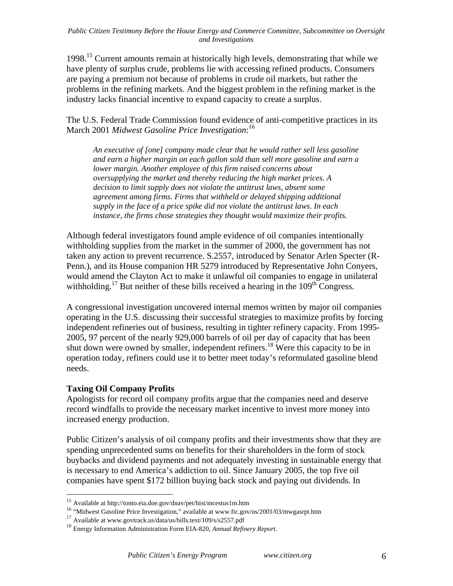1998.15 Current amounts remain at historically high levels, demonstrating that while we have plenty of surplus crude, problems lie with accessing refined products. Consumers are paying a premium not because of problems in crude oil markets, but rather the problems in the refining markets. And the biggest problem in the refining market is the industry lacks financial incentive to expand capacity to create a surplus.

The U.S. Federal Trade Commission found evidence of anti-competitive practices in its March 2001 *Midwest Gasoline Price Investigation*: 16

*An executive of [one] company made clear that he would rather sell less gasoline and earn a higher margin on each gallon sold than sell more gasoline and earn a lower margin. Another employee of this firm raised concerns about oversupplying the market and thereby reducing the high market prices. A decision to limit supply does not violate the antitrust laws, absent some agreement among firms. Firms that withheld or delayed shipping additional supply in the face of a price spike did not violate the antitrust laws. In each instance, the firms chose strategies they thought would maximize their profits.* 

Although federal investigators found ample evidence of oil companies intentionally withholding supplies from the market in the summer of 2000, the government has not taken any action to prevent recurrence. S.2557, introduced by Senator Arlen Specter (R-Penn.), and its House companion HR 5279 introduced by Representative John Conyers, would amend the Clayton Act to make it unlawful oil companies to engage in unilateral withholding.<sup>17</sup> But neither of these bills received a hearing in the  $109<sup>th</sup>$  Congress.

A congressional investigation uncovered internal memos written by major oil companies operating in the U.S. discussing their successful strategies to maximize profits by forcing independent refineries out of business, resulting in tighter refinery capacity. From 1995- 2005, 97 percent of the nearly 929,000 barrels of oil per day of capacity that has been shut down were owned by smaller, independent refiners.<sup>18</sup> Were this capacity to be in operation today, refiners could use it to better meet today's reformulated gasoline blend needs.

# **Taxing Oil Company Profits**

 $\overline{a}$ 

Apologists for record oil company profits argue that the companies need and deserve record windfalls to provide the necessary market incentive to invest more money into increased energy production.

Public Citizen's analysis of oil company profits and their investments show that they are spending unprecedented sums on benefits for their shareholders in the form of stock buybacks and dividend payments and not adequately investing in sustainable energy that is necessary to end America's addiction to oil. Since January 2005, the top five oil companies have spent \$172 billion buying back stock and paying out dividends. In

<sup>15</sup> Available at http://tonto.eia.doe.gov/dnav/pet/hist/mcestus1m.htm

<sup>&</sup>lt;sup>16</sup> "Midwest Gasoline Price Investigation," available at www.ftc.gov/os/2001/03/mwgasrpt.htm <sup>17</sup> Available at www.govtrack.us/data/us/bills.text/109/s/s2557.pdf

<sup>&</sup>lt;sup>18</sup> Energy Information Administration Form EIA-820, *Annual Refinery Report*.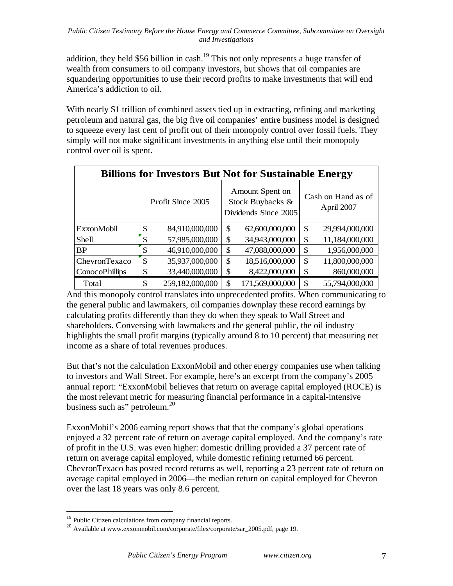addition, they held \$56 billion in cash.<sup>19</sup> This not only represents a huge transfer of wealth from consumers to oil company investors, but shows that oil companies are squandering opportunities to use their record profits to make investments that will end America's addiction to oil.

With nearly \$1 trillion of combined assets tied up in extracting, refining and marketing petroleum and natural gas, the big five oil companies' entire business model is designed to squeeze every last cent of profit out of their monopoly control over fossil fuels. They simply will not make significant investments in anything else until their monopoly control over oil is spent.

| <b>Billions for Investors But Not for Sustainable Energy</b> |                   |                 |    |                                                             |                                  |                |  |  |  |
|--------------------------------------------------------------|-------------------|-----------------|----|-------------------------------------------------------------|----------------------------------|----------------|--|--|--|
|                                                              | Profit Since 2005 |                 |    | Amount Spent on<br>Stock Buybacks &<br>Dividends Since 2005 | Cash on Hand as of<br>April 2007 |                |  |  |  |
| ExxonMobil                                                   | <sup>\$</sup>     | 84,910,000,000  | \$ | 62,600,000,000                                              | \$                               | 29,994,000,000 |  |  |  |
| Shell                                                        |                   | 57,985,000,000  | \$ | 34,943,000,000                                              | \$                               | 11,184,000,000 |  |  |  |
| <b>BP</b>                                                    |                   | 46,910,000,000  | \$ | 47,088,000,000                                              | \$                               | 1,956,000,000  |  |  |  |
| ChevronTexaco                                                | S                 | 35,937,000,000  | \$ | 18,516,000,000                                              | \$                               | 11,800,000,000 |  |  |  |
| <b>ConocoPhillips</b>                                        | \$                | 33,440,000,000  | \$ | 8,422,000,000                                               | \$                               | 860,000,000    |  |  |  |
| Total                                                        | \$                | 259,182,000,000 | \$ | 171,569,000,000                                             | \$                               | 55,794,000,000 |  |  |  |

And this monopoly control translates into unprecedented profits. When communicating to the general public and lawmakers, oil companies downplay these record earnings by calculating profits differently than they do when they speak to Wall Street and shareholders. Conversing with lawmakers and the general public, the oil industry highlights the small profit margins (typically around 8 to 10 percent) that measuring net income as a share of total revenues produces.

But that's not the calculation ExxonMobil and other energy companies use when talking to investors and Wall Street. For example, here's an excerpt from the company's 2005 annual report: "ExxonMobil believes that return on average capital employed (ROCE) is the most relevant metric for measuring financial performance in a capital-intensive business such as" petroleum.<sup>20</sup>

ExxonMobil's 2006 earning report shows that that the company's global operations enjoyed a 32 percent rate of return on average capital employed. And the company's rate of profit in the U.S. was even higher: domestic drilling provided a 37 percent rate of return on average capital employed, while domestic refining returned 66 percent. ChevronTexaco has posted record returns as well, reporting a 23 percent rate of return on average capital employed in 2006—the median return on capital employed for Chevron over the last 18 years was only 8.6 percent.

<sup>&</sup>lt;sup>19</sup> Public Citizen calculations from company financial reports.<br><sup>20</sup> Available at www.exxonmobil.com/corporate/files/corporate/sar\_2005.pdf, page 19.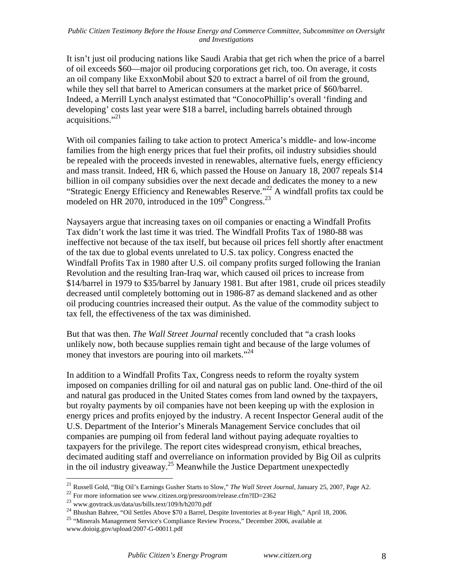It isn't just oil producing nations like Saudi Arabia that get rich when the price of a barrel of oil exceeds \$60—major oil producing corporations get rich, too. On average, it costs an oil company like ExxonMobil about \$20 to extract a barrel of oil from the ground, while they sell that barrel to American consumers at the market price of \$60/barrel. Indeed, a Merrill Lynch analyst estimated that "ConocoPhillip's overall 'finding and developing' costs last year were \$18 a barrel, including barrels obtained through acquisitions."<sup>21</sup>

With oil companies failing to take action to protect America's middle- and low-income families from the high energy prices that fuel their profits, oil industry subsidies should be repealed with the proceeds invested in renewables, alternative fuels, energy efficiency and mass transit. Indeed, HR 6, which passed the House on January 18, 2007 repeals \$14 billion in oil company subsidies over the next decade and dedicates the money to a new "Strategic Energy Efficiency and Renewables Reserve."<sup>22</sup> A windfall profits tax could be modeled on HR 2070, introduced in the  $109<sup>th</sup>$  Congress.<sup>23</sup>

Naysayers argue that increasing taxes on oil companies or enacting a Windfall Profits Tax didn't work the last time it was tried. The Windfall Profits Tax of 1980-88 was ineffective not because of the tax itself, but because oil prices fell shortly after enactment of the tax due to global events unrelated to U.S. tax policy. Congress enacted the Windfall Profits Tax in 1980 after U.S. oil company profits surged following the Iranian Revolution and the resulting Iran-Iraq war, which caused oil prices to increase from \$14/barrel in 1979 to \$35/barrel by January 1981. But after 1981, crude oil prices steadily decreased until completely bottoming out in 1986-87 as demand slackened and as other oil producing countries increased their output. As the value of the commodity subject to tax fell, the effectiveness of the tax was diminished.

But that was then. *The Wall Street Journal* recently concluded that "a crash looks unlikely now, both because supplies remain tight and because of the large volumes of money that investors are pouring into oil markets."<sup>24</sup>

In addition to a Windfall Profits Tax, Congress needs to reform the royalty system imposed on companies drilling for oil and natural gas on public land. One-third of the oil and natural gas produced in the United States comes from land owned by the taxpayers, but royalty payments by oil companies have not been keeping up with the explosion in energy prices and profits enjoyed by the industry. A recent Inspector General audit of the U.S. Department of the Interior's Minerals Management Service concludes that oil companies are pumping oil from federal land without paying adequate royalties to taxpayers for the privilege. The report cites widespread cronyism, ethical breaches, decimated auditing staff and overreliance on information provided by Big Oil as culprits in the oil industry giveaway.<sup>25</sup> Meanwhile the Justice Department unexpectedly

<sup>21</sup> Russell Gold, "Big Oil's Earnings Gusher Starts to Slow," *The Wall Street Journal*, January 25, 2007, Page A2.

<sup>22&</sup>lt;br>
<sup>22</sup> For more information see www.citizen.org/pressroom/release.cfm?ID=2362<br>
<sup>23</sup> www.govtrack.us/data/us/bills.text/109/h/h2070.pdf

<sup>&</sup>lt;sup>24</sup> Bhushan Bahree, "Oil Settles Above \$70 a Barrel, Despite Inventories at 8-year High," April 18, 2006.

<sup>25</sup> "Minerals Management Service's Compliance Review Process," December 2006, available at www.doioig.gov/upload/2007-G-00011.pdf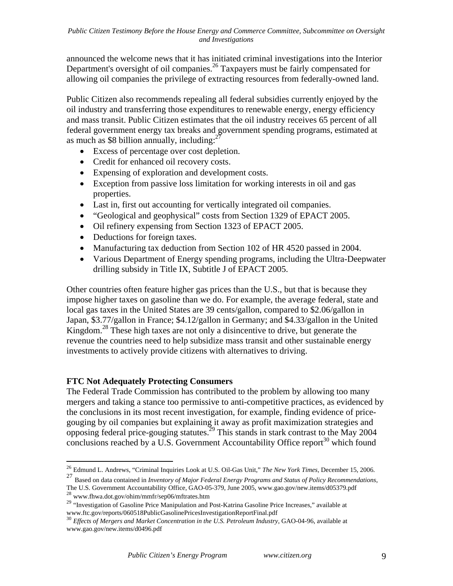announced the welcome news that it has initiated criminal investigations into the Interior Department's oversight of oil companies.<sup>26</sup> Taxpayers must be fairly compensated for allowing oil companies the privilege of extracting resources from federally-owned land.

Public Citizen also recommends repealing all federal subsidies currently enjoyed by the oil industry and transferring those expenditures to renewable energy, energy efficiency and mass transit. Public Citizen estimates that the oil industry receives 65 percent of all federal government energy tax breaks and government spending programs, estimated at as much as \$8 billion annually, including: $^{27}$ 

- Excess of percentage over cost depletion.
- Credit for enhanced oil recovery costs.
- Expensing of exploration and development costs.
- Exception from passive loss limitation for working interests in oil and gas properties.
- Last in, first out accounting for vertically integrated oil companies.
- "Geological and geophysical" costs from Section 1329 of EPACT 2005.
- Oil refinery expensing from Section 1323 of EPACT 2005.
- Deductions for foreign taxes.
- Manufacturing tax deduction from Section 102 of HR 4520 passed in 2004.
- Various Department of Energy spending programs, including the Ultra-Deepwater drilling subsidy in Title IX, Subtitle J of EPACT 2005.

Other countries often feature higher gas prices than the U.S., but that is because they impose higher taxes on gasoline than we do. For example, the average federal, state and local gas taxes in the United States are 39 cents/gallon, compared to \$2.06/gallon in Japan, \$3.77/gallon in France; \$4.12/gallon in Germany; and \$4.33/gallon in the United Kingdom.<sup>28</sup> These high taxes are not only a disincentive to drive, but generate the revenue the countries need to help subsidize mass transit and other sustainable energy investments to actively provide citizens with alternatives to driving.

# **FTC Not Adequately Protecting Consumers**

 $\overline{a}$ 

The Federal Trade Commission has contributed to the problem by allowing too many mergers and taking a stance too permissive to anti-competitive practices, as evidenced by the conclusions in its most recent investigation, for example, finding evidence of pricegouging by oil companies but explaining it away as profit maximization strategies and opposing federal price-gouging statutes.<sup>29</sup> This stands in stark contrast to the May 2004 conclusions reached by a U.S. Government Accountability Office report $^{30}$  which found

<sup>26</sup> Edmund L. Andrews, "Criminal Inquiries Look at U.S. Oil-Gas Unit," *The New York Times*, December 15, 2006.

<sup>27</sup> Based on data contained in *Inventory of Major Federal Energy Programs and Status of Policy Recommendations*, The U.S. Government Accountability Office, GAO-05-379, June 2005, www.gao.gov/new.items/d05379.pdf  $^{28}$  www.fhwa.dot.gov/ohim/mmfr/sep06/mftrates.htm

<sup>&</sup>lt;sup>29</sup> "Investigation of Gasoline Price Manipulation and Post-Katrina Gasoline Price Increases," available at www.ftc.gov/reports/060518PublicGasolinePricesInvestigationReportFinal.pdf

<sup>&</sup>lt;sup>30</sup> Effects of Mergers and Market Concentration in the U.S. Petroleum Industry, GAO-04-96, available at www.gao.gov/new.items/d0496.pdf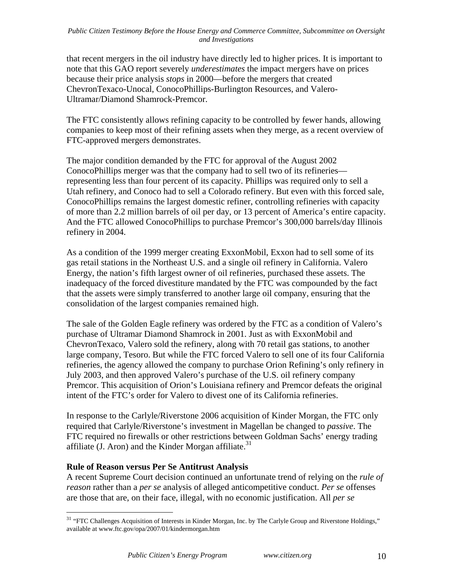that recent mergers in the oil industry have directly led to higher prices. It is important to note that this GAO report severely *underestimates* the impact mergers have on prices because their price analysis *stops* in 2000—before the mergers that created ChevronTexaco-Unocal, ConocoPhillips-Burlington Resources, and Valero-Ultramar/Diamond Shamrock-Premcor.

The FTC consistently allows refining capacity to be controlled by fewer hands, allowing companies to keep most of their refining assets when they merge, as a recent overview of FTC-approved mergers demonstrates.

The major condition demanded by the FTC for approval of the August 2002 ConocoPhillips merger was that the company had to sell two of its refineries representing less than four percent of its capacity. Phillips was required only to sell a Utah refinery, and Conoco had to sell a Colorado refinery. But even with this forced sale, ConocoPhillips remains the largest domestic refiner, controlling refineries with capacity of more than 2.2 million barrels of oil per day, or 13 percent of America's entire capacity. And the FTC allowed ConocoPhillips to purchase Premcor's 300,000 barrels/day Illinois refinery in 2004.

As a condition of the 1999 merger creating ExxonMobil, Exxon had to sell some of its gas retail stations in the Northeast U.S. and a single oil refinery in California. Valero Energy, the nation's fifth largest owner of oil refineries, purchased these assets. The inadequacy of the forced divestiture mandated by the FTC was compounded by the fact that the assets were simply transferred to another large oil company, ensuring that the consolidation of the largest companies remained high.

The sale of the Golden Eagle refinery was ordered by the FTC as a condition of Valero's purchase of Ultramar Diamond Shamrock in 2001. Just as with ExxonMobil and ChevronTexaco, Valero sold the refinery, along with 70 retail gas stations, to another large company, Tesoro. But while the FTC forced Valero to sell one of its four California refineries, the agency allowed the company to purchase Orion Refining's only refinery in July 2003, and then approved Valero's purchase of the U.S. oil refinery company Premcor. This acquisition of Orion's Louisiana refinery and Premcor defeats the original intent of the FTC's order for Valero to divest one of its California refineries.

In response to the Carlyle/Riverstone 2006 acquisition of Kinder Morgan, the FTC only required that Carlyle/Riverstone's investment in Magellan be changed to *passive*. The FTC required no firewalls or other restrictions between Goldman Sachs' energy trading affiliate (J. Aron) and the Kinder Morgan affiliate. $31$ 

# **Rule of Reason versus Per Se Antitrust Analysis**

1

A recent Supreme Court decision continued an unfortunate trend of relying on the *rule of reason* rather than a *per se* analysis of alleged anticompetitive conduct. *Per se* offenses are those that are, on their face, illegal, with no economic justification. All *per se*

 $31$  "FTC Challenges Acquisition of Interests in Kinder Morgan, Inc. by The Carlyle Group and Riverstone Holdings," available at www.ftc.gov/opa/2007/01/kindermorgan.htm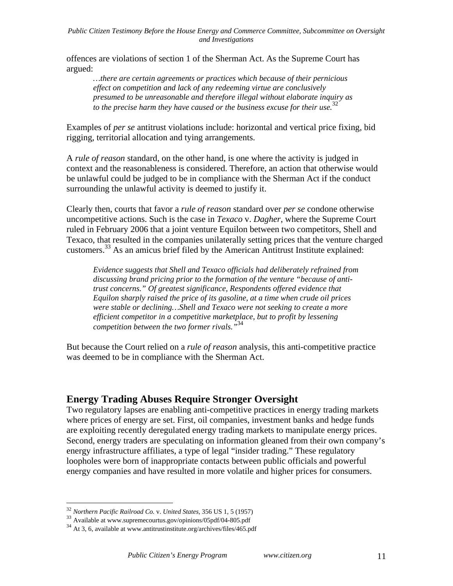offences are violations of section 1 of the Sherman Act. As the Supreme Court has argued:

*…there are certain agreements or practices which because of their pernicious effect on competition and lack of any redeeming virtue are conclusively presumed to be unreasonable and therefore illegal without elaborate inquiry as to the precise harm they have caused or the business excuse for their use.*<sup>32</sup>

Examples of *per se* antitrust violations include: horizontal and vertical price fixing, bid rigging, territorial allocation and tying arrangements.

A *rule of reason* standard, on the other hand, is one where the activity is judged in context and the reasonableness is considered. Therefore, an action that otherwise would be unlawful could be judged to be in compliance with the Sherman Act if the conduct surrounding the unlawful activity is deemed to justify it.

Clearly then, courts that favor a *rule of reason* standard over *per se* condone otherwise uncompetitive actions. Such is the case in *Texaco* v. *Dagher*, where the Supreme Court ruled in February 2006 that a joint venture Equilon between two competitors, Shell and Texaco, that resulted in the companies unilaterally setting prices that the venture charged customers.33 As an amicus brief filed by the American Antitrust Institute explained:

*Evidence suggests that Shell and Texaco officials had deliberately refrained from discussing brand pricing prior to the formation of the venture "because of antitrust concerns." Of greatest significance, Respondents offered evidence that Equilon sharply raised the price of its gasoline, at a time when crude oil prices were stable or declining…Shell and Texaco were not seeking to create a more efficient competitor in a competitive marketplace, but to profit by lessening competition between the two former rivals."*<sup>34</sup>

But because the Court relied on a *rule of reason* analysis, this anti-competitive practice was deemed to be in compliance with the Sherman Act.

# **Energy Trading Abuses Require Stronger Oversight**

Two regulatory lapses are enabling anti-competitive practices in energy trading markets where prices of energy are set. First, oil companies, investment banks and hedge funds are exploiting recently deregulated energy trading markets to manipulate energy prices. Second, energy traders are speculating on information gleaned from their own company's energy infrastructure affiliates, a type of legal "insider trading." These regulatory loopholes were born of inappropriate contacts between public officials and powerful energy companies and have resulted in more volatile and higher prices for consumers.

<sup>32</sup> *Northern Pacific Railroad Co.* v. *United States*, 356 US 1, 5 (1957)

<sup>&</sup>lt;sup>33</sup> Available at www.supremecourtus.gov/opinions/05pdf/04-805.pdf<br><sup>34</sup> At 3, 6, available at www.antitrustinstitute.org/archives/files/465.pdf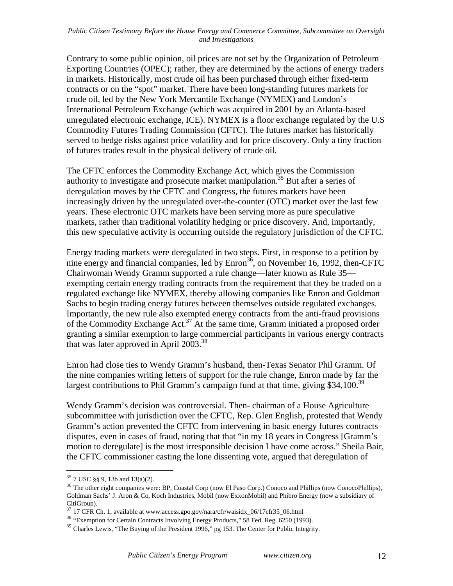Contrary to some public opinion, oil prices are not set by the Organization of Petroleum Exporting Countries (OPEC); rather, they are determined by the actions of energy traders in markets. Historically, most crude oil has been purchased through either fixed-term contracts or on the "spot" market. There have been long-standing futures markets for crude oil, led by the New York Mercantile Exchange (NYMEX) and London's International Petroleum Exchange (which was acquired in 2001 by an Atlanta-based unregulated electronic exchange, ICE). NYMEX is a floor exchange regulated by the U.S Commodity Futures Trading Commission (CFTC). The futures market has historically served to hedge risks against price volatility and for price discovery. Only a tiny fraction of futures trades result in the physical delivery of crude oil.

The CFTC enforces the Commodity Exchange Act, which gives the Commission authority to investigate and prosecute market manipulation.35 But after a series of deregulation moves by the CFTC and Congress, the futures markets have been increasingly driven by the unregulated over-the-counter (OTC) market over the last few years. These electronic OTC markets have been serving more as pure speculative markets, rather than traditional volatility hedging or price discovery. And, importantly, this new speculative activity is occurring outside the regulatory jurisdiction of the CFTC.

Energy trading markets were deregulated in two steps. First, in response to a petition by nine energy and financial companies, led by  $\text{Enron}^{36}$ , on November 16, 1992, then-CFTC Chairwoman Wendy Gramm supported a rule change—later known as Rule 35 exempting certain energy trading contracts from the requirement that they be traded on a regulated exchange like NYMEX, thereby allowing companies like Enron and Goldman Sachs to begin trading energy futures between themselves outside regulated exchanges. Importantly, the new rule also exempted energy contracts from the anti-fraud provisions of the Commodity Exchange Act.37 At the same time, Gramm initiated a proposed order granting a similar exemption to large commercial participants in various energy contracts that was later approved in April  $2003$ <sup>38</sup>

Enron had close ties to Wendy Gramm's husband, then-Texas Senator Phil Gramm. Of the nine companies writing letters of support for the rule change, Enron made by far the largest contributions to Phil Gramm's campaign fund at that time, giving \$34,100.<sup>39</sup>

Wendy Gramm's decision was controversial. Then- chairman of a House Agriculture subcommittee with jurisdiction over the CFTC, Rep. Glen English, protested that Wendy Gramm's action prevented the CFTC from intervening in basic energy futures contracts disputes, even in cases of fraud, noting that that "in my 18 years in Congress [Gramm's motion to deregulate] is the most irresponsible decision I have come across." Sheila Bair, the CFTC commissioner casting the lone dissenting vote, argued that deregulation of

<sup>&</sup>lt;sup>35</sup> 7 USC §§ 9, 13b and 13(a)(2).<br><sup>36</sup> The other eight companies were: BP, Coastal Corp (now El Paso Corp.) Conoco and Phillips (now ConocoPhillips), Goldman Sachs' J. Aron & Co, Koch Industries, Mobil (now ExxonMobil) and Phibro Energy (now a subsidiary of

CitiGroup).<br><sup>37</sup> 17 CFR Ch. 1, available at www.access.gpo.gov/nara/cfr/waisidx\_06/17cfr35\_06.html

<sup>&</sup>lt;sup>38</sup> "Exemption for Certain Contracts Involving Energy Products," 58 Fed. Reg. 6250 (1993).

<sup>&</sup>lt;sup>39</sup> Charles Lewis, "The Buying of the President 1996," pg 153. The Center for Public Integrity.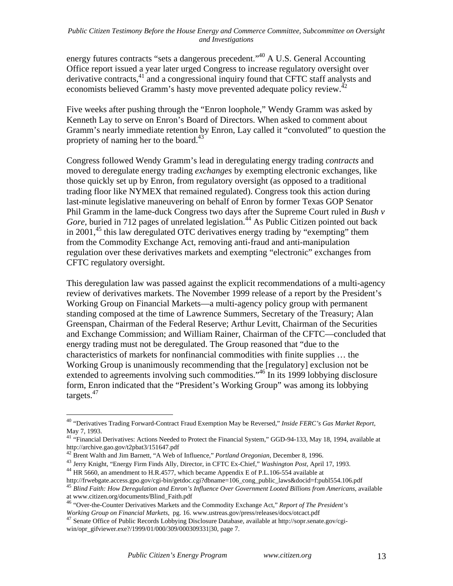energy futures contracts "sets a dangerous precedent."<sup>40</sup> A U.S. General Accounting Office report issued a year later urged Congress to increase regulatory oversight over derivative contracts,<sup>41</sup> and a congressional inquiry found that CFTC staff analysts and economists believed Gramm's hasty move prevented adequate policy review.<sup>42</sup>

Five weeks after pushing through the "Enron loophole," Wendy Gramm was asked by Kenneth Lay to serve on Enron's Board of Directors. When asked to comment about Gramm's nearly immediate retention by Enron, Lay called it "convoluted" to question the propriety of naming her to the board. $43$ 

Congress followed Wendy Gramm's lead in deregulating energy trading *contracts* and moved to deregulate energy trading *exchanges* by exempting electronic exchanges, like those quickly set up by Enron, from regulatory oversight (as opposed to a traditional trading floor like NYMEX that remained regulated). Congress took this action during last-minute legislative maneuvering on behalf of Enron by former Texas GOP Senator Phil Gramm in the lame-duck Congress two days after the Supreme Court ruled in *Bush v*  Gore, buried in 712 pages of unrelated legislation.<sup>44</sup> As Public Citizen pointed out back in 2001, $45$  this law deregulated OTC derivatives energy trading by "exempting" them from the Commodity Exchange Act, removing anti-fraud and anti-manipulation regulation over these derivatives markets and exempting "electronic" exchanges from CFTC regulatory oversight.

This deregulation law was passed against the explicit recommendations of a multi-agency review of derivatives markets. The November 1999 release of a report by the President's Working Group on Financial Markets—a multi-agency policy group with permanent standing composed at the time of Lawrence Summers, Secretary of the Treasury; Alan Greenspan, Chairman of the Federal Reserve; Arthur Levitt, Chairman of the Securities and Exchange Commission; and William Rainer, Chairman of the CFTC—concluded that energy trading must not be deregulated. The Group reasoned that "due to the characteristics of markets for nonfinancial commodities with finite supplies … the Working Group is unanimously recommending that the [regulatory] exclusion not be extended to agreements involving such commodities."<sup>46</sup> In its 1999 lobbying disclosure form, Enron indicated that the "President's Working Group" was among its lobbying targets.47

<sup>40</sup> "Derivatives Trading Forward-Contract Fraud Exemption May be Reversed," *Inside FERC's Gas Market Report*, May 7, 1993.

<sup>&</sup>lt;sup>41</sup> "Financial Derivatives: Actions Needed to Protect the Financial System," GGD-94-133, May 18, 1994, available at http://archive.gao.gov/t2pbat3/151647.pdf

<sup>42</sup> Brent Walth and Jim Barnett, "A Web of Influence," *Portland Oregonian*, December 8, 1996.

<sup>&</sup>lt;sup>43</sup> Jerry Knight, "Energy Firm Finds Ally, Director, in CFTC Ex-Chief," *Washington Post*, April 17, 1993.<br><sup>44</sup> HR 5660, an amendment to H.R.4577, which became Appendix E of P.L.106-554 available at http://frwebgate.acces

<sup>&</sup>lt;sup>45</sup> Blind Faith: How Deregulation and Enron's Influence Over Government Looted Billions from Americans, available

at www.citizen.org/documents/Blind\_Faith.pdf<br>
<sup>46</sup> "Over-the-Counter Derivatives Markets and the Commodity Exchange Act," *Report of The President's*<br> *Working Group on Financial Markets*, pg. 16. www.ustreas.gov/press/rel

<sup>&</sup>lt;sup>47</sup> Senate Office of Public Records Lobbying Disclosure Database, available at http://sopr.senate.gov/cgiwin/opr\_gifviewer.exe?/1999/01/000/309/000309331|30, page 7.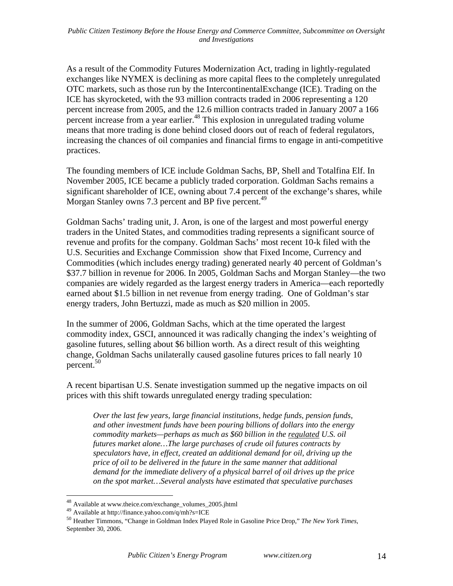As a result of the Commodity Futures Modernization Act, trading in lightly-regulated exchanges like NYMEX is declining as more capital flees to the completely unregulated OTC markets, such as those run by the IntercontinentalExchange (ICE). Trading on the ICE has skyrocketed, with the 93 million contracts traded in 2006 representing a 120 percent increase from 2005, and the 12.6 million contracts traded in January 2007 a 166 percent increase from a year earlier.<sup>48</sup> This explosion in unregulated trading volume means that more trading is done behind closed doors out of reach of federal regulators, increasing the chances of oil companies and financial firms to engage in anti-competitive practices.

The founding members of ICE include Goldman Sachs, BP, Shell and Totalfina Elf. In November 2005, ICE became a publicly traded corporation. Goldman Sachs remains a significant shareholder of ICE, owning about 7.4 percent of the exchange's shares, while Morgan Stanley owns 7.3 percent and BP five percent.<sup>49</sup>

Goldman Sachs' trading unit, J. Aron, is one of the largest and most powerful energy traders in the United States, and commodities trading represents a significant source of revenue and profits for the company. Goldman Sachs' most recent 10-k filed with the U.S. Securities and Exchange Commission show that Fixed Income, Currency and Commodities (which includes energy trading) generated nearly 40 percent of Goldman's \$37.7 billion in revenue for 2006. In 2005, Goldman Sachs and Morgan Stanley—the two companies are widely regarded as the largest energy traders in America—each reportedly earned about \$1.5 billion in net revenue from energy trading. One of Goldman's star energy traders, John Bertuzzi, made as much as \$20 million in 2005.

In the summer of 2006, Goldman Sachs, which at the time operated the largest commodity index, GSCI, announced it was radically changing the index's weighting of gasoline futures, selling about \$6 billion worth. As a direct result of this weighting change, Goldman Sachs unilaterally caused gasoline futures prices to fall nearly 10 percent.50

A recent bipartisan U.S. Senate investigation summed up the negative impacts on oil prices with this shift towards unregulated energy trading speculation:

*Over the last few years, large financial institutions, hedge funds, pension funds, and other investment funds have been pouring billions of dollars into the energy commodity markets—perhaps as much as \$60 billion in the regulated U.S. oil futures market alone…The large purchases of crude oil futures contracts by speculators have, in effect, created an additional demand for oil, driving up the price of oil to be delivered in the future in the same manner that additional demand for the immediate delivery of a physical barrel of oil drives up the price on the spot market…Several analysts have estimated that speculative purchases* 

<sup>&</sup>lt;sup>48</sup> Available at www.theice.com/exchange\_volumes\_2005.jhtml

<sup>49</sup> Available at http://finance.yahoo.com/q/mh?s=ICE

<sup>50</sup> Heather Timmons, "Change in Goldman Index Played Role in Gasoline Price Drop," *The New York Times*, September 30, 2006.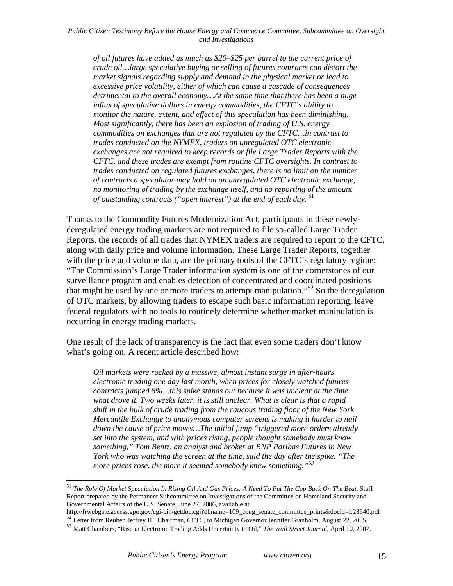*of oil futures have added as much as \$20–\$25 per barrel to the current price of crude oil…large speculative buying or selling of futures contracts can distort the market signals regarding supply and demand in the physical market or lead to excessive price volatility, either of which can cause a cascade of consequences detrimental to the overall economy…At the same time that there has been a huge influx of speculative dollars in energy commodities, the CFTC's ability to monitor the nature, extent, and effect of this speculation has been diminishing. Most significantly, there has been an explosion of trading of U.S. energy commodities on exchanges that are not regulated by the CFTC…in contrast to trades conducted on the NYMEX, traders on unregulated OTC electronic exchanges are not required to keep records or file Large Trader Reports with the CFTC, and these trades are exempt from routine CFTC oversights. In contrast to trades conducted on regulated futures exchanges, there is no limit on the number of contracts a speculator may hold on an unregulated OTC electronic exchange, no monitoring of trading by the exchange itself, and no reporting of the amount of outstanding contracts ("open interest") at the end of each day.* 

Thanks to the Commodity Futures Modernization Act, participants in these newlyderegulated energy trading markets are not required to file so-called Large Trader Reports, the records of all trades that NYMEX traders are required to report to the CFTC, along with daily price and volume information. These Large Trader Reports, together with the price and volume data, are the primary tools of the CFTC's regulatory regime: "The Commission's Large Trader information system is one of the cornerstones of our surveillance program and enables detection of concentrated and coordinated positions that might be used by one or more traders to attempt manipulation.<sup> $52$ </sup> So the deregulation of OTC markets, by allowing traders to escape such basic information reporting, leave federal regulators with no tools to routinely determine whether market manipulation is occurring in energy trading markets.

One result of the lack of transparency is the fact that even some traders don't know what's going on. A recent article described how:

*Oil markets were rocked by a massive, almost instant surge in after-hours electronic trading one day last month, when prices for closely watched futures contracts jumped 8%…this spike stands out because it was unclear at the time what drove it. Two weeks later, it is still unclear. What is clear is that a rapid shift in the bulk of crude trading from the raucous trading floor of the New York Mercantile Exchange to anonymous computer screens is making it harder to nail down the cause of price moves…The initial jump "triggered more orders already set into the system, and with prices rising, people thought somebody must know something," Tom Bentz, an analyst and broker at BNP Paribas Futures in New York who was watching the screen at the time, said the day after the spike. "The more prices rose, the more it seemed somebody knew something."53*

<sup>51</sup> *The Role Of Market Speculation In Rising Oil And Gas Prices: A Need To Put The Cop Back On The Beat*, Staff Report prepared by the Permanent Subcommittee on Investigations of the Committee on Homeland Security and Governmental Affairs of the U.S. Senate, June 27, 2006, available at<br>http://frwebgate.access.gpo.gov/cgi-bin/getdoc.cgi?dbname=109\_cong\_senate\_committee\_prints&docid=f:28640.pdf

 $^{52}$  Letter from Reuben Jeffrey III, Chairman, CFTC, to Michigan Governor Jennifer Granholm, August 22, 2005.<br><sup>53</sup> Matt Chambers, "Rise in Electronic Trading Adds Uncertainty to Oil," *The Wall Street Journal*, April 10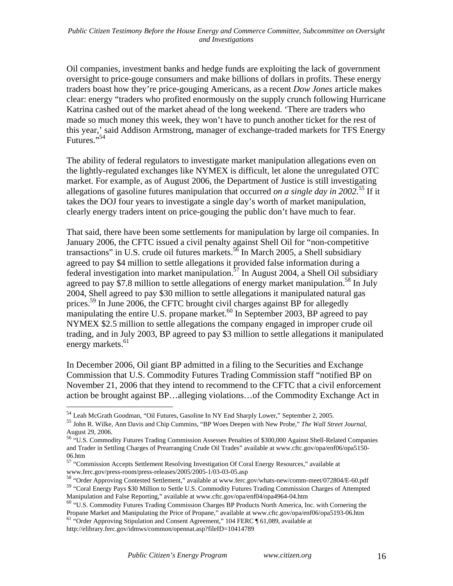Oil companies, investment banks and hedge funds are exploiting the lack of government oversight to price-gouge consumers and make billions of dollars in profits. These energy traders boast how they're price-gouging Americans, as a recent *Dow Jones* article makes clear: energy "traders who profited enormously on the supply crunch following Hurricane Katrina cashed out of the market ahead of the long weekend. 'There are traders who made so much money this week, they won't have to punch another ticket for the rest of this year,' said Addison Armstrong, manager of exchange-traded markets for TFS Energy Futures."54

The ability of federal regulators to investigate market manipulation allegations even on the lightly-regulated exchanges like NYMEX is difficult, let alone the unregulated OTC market. For example, as of August 2006, the Department of Justice is still investigating allegations of gasoline futures manipulation that occurred *on a single day in 2002*. 55 If it takes the DOJ four years to investigate a single day's worth of market manipulation, clearly energy traders intent on price-gouging the public don't have much to fear.

That said, there have been some settlements for manipulation by large oil companies. In January 2006, the CFTC issued a civil penalty against Shell Oil for "non-competitive transactions" in U.S. crude oil futures markets.<sup>56</sup> In March 2005, a Shell subsidiary agreed to pay \$4 million to settle allegations it provided false information during a federal investigation into market manipulation.<sup>57</sup> In August 2004, a Shell Oil subsidiary agreed to pay \$7.8 million to settle allegations of energy market manipulation.<sup>58</sup> In July 2004, Shell agreed to pay \$30 million to settle allegations it manipulated natural gas prices.<sup>59</sup> In June 2006, the CFTC brought civil charges against BP for allegedly manipulating the entire U.S. propane market. $^{60}$  In September 2003, BP agreed to pay NYMEX \$2.5 million to settle allegations the company engaged in improper crude oil trading, and in July 2003, BP agreed to pay \$3 million to settle allegations it manipulated energy markets.<sup>61</sup>

In December 2006, Oil giant BP admitted in a filing to the Securities and Exchange Commission that U.S. Commodity Futures Trading Commission staff "notified BP on November 21, 2006 that they intend to recommend to the CFTC that a civil enforcement action be brought against BP…alleging violations…of the Commodity Exchange Act in

http://elibrary.ferc.gov/idmws/common/opennat.asp?fileID=10414789

<sup>&</sup>lt;sup>54</sup> Leah McGrath Goodman, "Oil Futures, Gasoline In NY End Sharply Lower," September 2, 2005.<br><sup>55</sup> John R. Wilke, Ann Davis and Chip Cummins, "BP Woes Deepen with New Probe," *The Wall Street Journal*, August 29, 2006.

<sup>56</sup> "U.S. Commodity Futures Trading Commission Assesses Penalties of \$300,000 Against Shell-Related Companies and Trader in Settling Charges of Prearranging Crude Oil Trades" available at www.cftc.gov/opa/enf06/opa5150- 06.htm

<sup>&</sup>lt;sup>57</sup> "Commission Accepts Settlement Resolving Investigation Of Coral Energy Resources," available at www.ferc.gov/press-room/press-releases/2005/2005-1/03-03-05.asp

<sup>58 &</sup>quot;Order Approving Contested Settlement," available at www.ferc.gov/whats-new/comm-meet/072804/E-60.pdf <sup>59</sup> "Coral Energy Pays \$30 Million to Settle U.S. Commodity Futures Trading Commission Charges of Attempted

Manipulation and False Reporting," available at www.cftc.gov/opa/enf04/opa4964-04.htm 60 "U.S. Commodity Futures Trading Commission Charges BP Products North America, Inc. with Cornering the

Propane Market and Manipulating the Price of Propane," available at www.cftc.gov/opa/enf06/opa5193-06.htm <sup>61</sup> "Order Approving Stipulation and Consent Agreement," 104 FERC ¶ 61,089, available at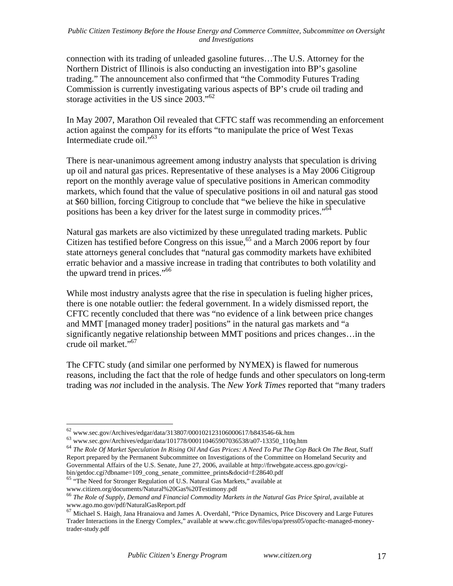connection with its trading of unleaded gasoline futures…The U.S. Attorney for the Northern District of Illinois is also conducting an investigation into BP's gasoline trading." The announcement also confirmed that "the Commodity Futures Trading Commission is currently investigating various aspects of BP's crude oil trading and storage activities in the US since 2003."<sup>62</sup>

In May 2007, Marathon Oil revealed that CFTC staff was recommending an enforcement action against the company for its efforts "to manipulate the price of West Texas Intermediate crude oil."63

There is near-unanimous agreement among industry analysts that speculation is driving up oil and natural gas prices. Representative of these analyses is a May 2006 Citigroup report on the monthly average value of speculative positions in American commodity markets, which found that the value of speculative positions in oil and natural gas stood at \$60 billion, forcing Citigroup to conclude that "we believe the hike in speculative positions has been a key driver for the latest surge in commodity prices."<sup>64</sup>

Natural gas markets are also victimized by these unregulated trading markets. Public Citizen has testified before Congress on this issue,<sup>65</sup> and a March 2006 report by four state attorneys general concludes that "natural gas commodity markets have exhibited erratic behavior and a massive increase in trading that contributes to both volatility and the upward trend in prices."<sup>66</sup>

While most industry analysts agree that the rise in speculation is fueling higher prices, there is one notable outlier: the federal government. In a widely dismissed report, the CFTC recently concluded that there was "no evidence of a link between price changes and MMT [managed money trader] positions" in the natural gas markets and "a significantly negative relationship between MMT positions and prices changes…in the crude oil market."<sup>67</sup>

The CFTC study (and similar one performed by NYMEX) is flawed for numerous reasons, including the fact that the role of hedge funds and other speculators on long-term trading was *not* included in the analysis. The *New York Times* reported that "many traders

 $^{62}$  www.sec.gov/Archives/edgar/data/313807/000102123106000617/b843546-6k.htm<br> $^{63}$  www.sec.gov/Archives/edgar/data/101778/000110465907036538/a07-13350\_110q.htm

<sup>64</sup> *The Role Of Market Speculation In Rising Oil And Gas Prices: A Need To Put The Cop Back On The Beat*, Staff Report prepared by the Permanent Subcommittee on Investigations of the Committee on Homeland Security and Governmental Affairs of the U.S. Senate, June 27, 2006, available at http://frwebgate.access.gpo.gov/cgibin/getdoc.cgi?dbname=109\_cong\_senate\_committee\_prints&docid=f:28640.pdf

<sup>&</sup>lt;sup>65</sup> "The Need for Stronger Regulation of U.S. Natural Gas Markets," available at

www.citizen.org/documents/Natural%20Gas%20Testimony.pdf<br><sup>66</sup> *The Role of Supply, Demand and Financial Commodity Markets in the Natural Gas Price Spiral*, available at<br>www.ago.mo.gov/pdf/NaturalGasReport.pdf

 $^{67}$  Michael S. Haigh, Jana Hranaiova and James A. Overdahl, "Price Dynamics, Price Discovery and Large Futures Trader Interactions in the Energy Complex," available at www.cftc.gov/files/opa/press05/opacftc-managed-moneytrader-study.pdf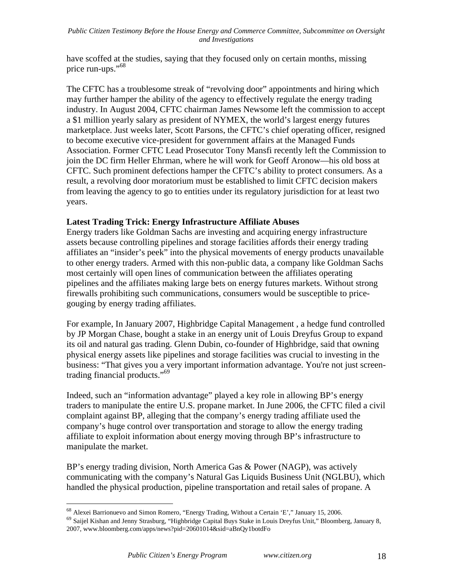have scoffed at the studies, saying that they focused only on certain months, missing price run-ups."<sup>68</sup>

The CFTC has a troublesome streak of "revolving door" appointments and hiring which may further hamper the ability of the agency to effectively regulate the energy trading industry. In August 2004, CFTC chairman James Newsome left the commission to accept a \$1 million yearly salary as president of NYMEX, the world's largest energy futures marketplace. Just weeks later, Scott Parsons, the CFTC's chief operating officer, resigned to become executive vice-president for government affairs at the Managed Funds Association. Former CFTC Lead Prosecutor Tony Mansfi recently left the Commission to join the DC firm Heller Ehrman, where he will work for Geoff Aronow—his old boss at CFTC. Such prominent defections hamper the CFTC's ability to protect consumers. As a result, a revolving door moratorium must be established to limit CFTC decision makers from leaving the agency to go to entities under its regulatory jurisdiction for at least two years.

### **Latest Trading Trick: Energy Infrastructure Affiliate Abuses**

Energy traders like Goldman Sachs are investing and acquiring energy infrastructure assets because controlling pipelines and storage facilities affords their energy trading affiliates an "insider's peek" into the physical movements of energy products unavailable to other energy traders. Armed with this non-public data, a company like Goldman Sachs most certainly will open lines of communication between the affiliates operating pipelines and the affiliates making large bets on energy futures markets. Without strong firewalls prohibiting such communications, consumers would be susceptible to pricegouging by energy trading affiliates.

For example, In January 2007, Highbridge Capital Management , a hedge fund controlled by JP Morgan Chase, bought a stake in an energy unit of Louis Dreyfus Group to expand its oil and natural gas trading. Glenn Dubin, co-founder of Highbridge, said that owning physical energy assets like pipelines and storage facilities was crucial to investing in the business: "That gives you a very important information advantage. You're not just screentrading financial products."<sup>69</sup>

Indeed, such an "information advantage" played a key role in allowing BP's energy traders to manipulate the entire U.S. propane market. In June 2006, the CFTC filed a civil complaint against BP, alleging that the company's energy trading affiliate used the company's huge control over transportation and storage to allow the energy trading affiliate to exploit information about energy moving through BP's infrastructure to manipulate the market.

BP's energy trading division, North America Gas & Power (NAGP), was actively communicating with the company's Natural Gas Liquids Business Unit (NGLBU), which handled the physical production, pipeline transportation and retail sales of propane. A

<sup>68</sup> Alexei Barrionuevo and Simon Romero, "Energy Trading, Without a Certain 'E'," January 15, 2006.

<sup>69</sup> Saijel Kishan and Jenny Strasburg, "Highbridge Capital Buys Stake in Louis Dreyfus Unit," Bloomberg, January 8, 2007, www.bloomberg.com/apps/news?pid=20601014&sid=aBnQy1botdFo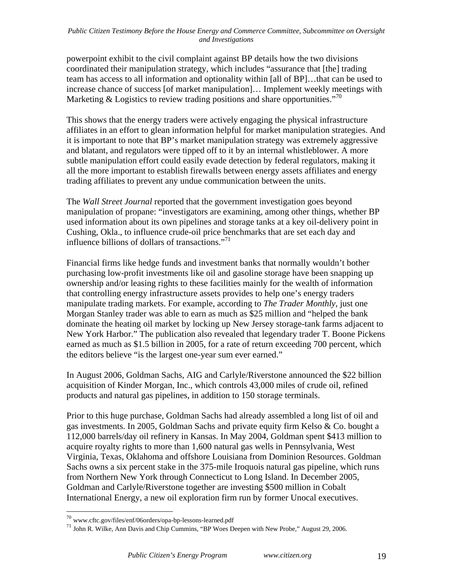powerpoint exhibit to the civil complaint against BP details how the two divisions coordinated their manipulation strategy, which includes "assurance that [the] trading team has access to all information and optionality within [all of BP]…that can be used to increase chance of success [of market manipulation]… Implement weekly meetings with Marketing & Logistics to review trading positions and share opportunities.<sup>770</sup>

This shows that the energy traders were actively engaging the physical infrastructure affiliates in an effort to glean information helpful for market manipulation strategies. And it is important to note that BP's market manipulation strategy was extremely aggressive and blatant, and regulators were tipped off to it by an internal whistleblower. A more subtle manipulation effort could easily evade detection by federal regulators, making it all the more important to establish firewalls between energy assets affiliates and energy trading affiliates to prevent any undue communication between the units.

The *Wall Street Journal* reported that the government investigation goes beyond manipulation of propane: "investigators are examining, among other things, whether BP used information about its own pipelines and storage tanks at a key oil-delivery point in Cushing, Okla., to influence crude-oil price benchmarks that are set each day and influence billions of dollars of transactions. $^{771}$ 

Financial firms like hedge funds and investment banks that normally wouldn't bother purchasing low-profit investments like oil and gasoline storage have been snapping up ownership and/or leasing rights to these facilities mainly for the wealth of information that controlling energy infrastructure assets provides to help one's energy traders manipulate trading markets. For example, according to *The Trader Monthly*, just one Morgan Stanley trader was able to earn as much as \$25 million and "helped the bank dominate the heating oil market by locking up New Jersey storage-tank farms adjacent to New York Harbor." The publication also revealed that legendary trader T. Boone Pickens earned as much as \$1.5 billion in 2005, for a rate of return exceeding 700 percent, which the editors believe "is the largest one-year sum ever earned."

In August 2006, Goldman Sachs, AIG and Carlyle/Riverstone announced the \$22 billion acquisition of Kinder Morgan, Inc., which controls 43,000 miles of crude oil, refined products and natural gas pipelines, in addition to 150 storage terminals.

Prior to this huge purchase, Goldman Sachs had already assembled a long list of oil and gas investments. In 2005, Goldman Sachs and private equity firm Kelso & Co. bought a 112,000 barrels/day oil refinery in Kansas. In May 2004, Goldman spent \$413 million to acquire royalty rights to more than 1,600 natural gas wells in Pennsylvania, West Virginia, Texas, Oklahoma and offshore Louisiana from Dominion Resources. Goldman Sachs owns a six percent stake in the 375-mile Iroquois natural gas pipeline, which runs from Northern New York through Connecticut to Long Island. In December 2005, Goldman and Carlyle/Riverstone together are investing \$500 million in Cobalt International Energy, a new oil exploration firm run by former Unocal executives.

<sup>&</sup>lt;sup>70</sup> www.cftc.gov/files/enf/06orders/opa-bp-lessons-learned.pdf<br><sup>71</sup> John R. Wilke, Ann Davis and Chip Cummins, "BP Woes Deepen with New Probe," August 29, 2006.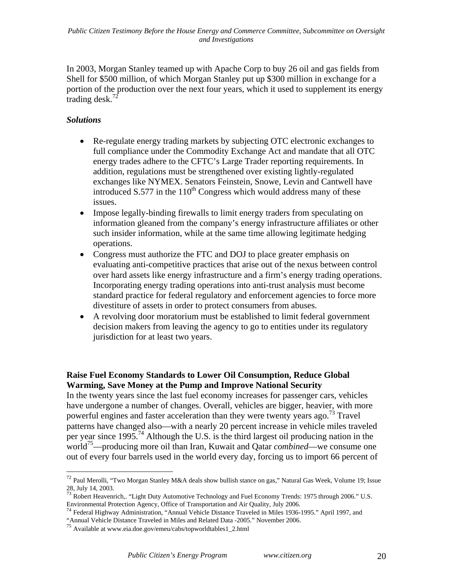In 2003, Morgan Stanley teamed up with Apache Corp to buy 26 oil and gas fields from Shell for \$500 million, of which Morgan Stanley put up \$300 million in exchange for a portion of the production over the next four years, which it used to supplement its energy trading desk.<sup>72</sup>

# *Solutions*

1

- Re-regulate energy trading markets by subjecting OTC electronic exchanges to full compliance under the Commodity Exchange Act and mandate that all OTC energy trades adhere to the CFTC's Large Trader reporting requirements. In addition, regulations must be strengthened over existing lightly-regulated exchanges like NYMEX. Senators Feinstein, Snowe, Levin and Cantwell have introduced  $S.577$  in the  $110<sup>th</sup>$  Congress which would address many of these issues.
- Impose legally-binding firewalls to limit energy traders from speculating on information gleaned from the company's energy infrastructure affiliates or other such insider information, while at the same time allowing legitimate hedging operations.
- Congress must authorize the FTC and DOJ to place greater emphasis on evaluating anti-competitive practices that arise out of the nexus between control over hard assets like energy infrastructure and a firm's energy trading operations. Incorporating energy trading operations into anti-trust analysis must become standard practice for federal regulatory and enforcement agencies to force more divestiture of assets in order to protect consumers from abuses.
- A revolving door moratorium must be established to limit federal government decision makers from leaving the agency to go to entities under its regulatory jurisdiction for at least two years.

# **Raise Fuel Economy Standards to Lower Oil Consumption, Reduce Global Warming, Save Money at the Pump and Improve National Security**

In the twenty years since the last fuel economy increases for passenger cars, vehicles have undergone a number of changes. Overall, vehicles are bigger, heavier, with more powerful engines and faster acceleration than they were twenty years ago.<sup>73</sup> Travel patterns have changed also—with a nearly 20 percent increase in vehicle miles traveled per year since 1995.<sup>74</sup> Although the U.S. is the third largest oil producing nation in the world<sup>75</sup>—producing more oil than Iran, Kuwait and Qatar *combined*—we consume one out of every four barrels used in the world every day, forcing us to import 66 percent of

<sup>72</sup> Paul Merolli, "Two Morgan Stanley M&A deals show bullish stance on gas," Natural Gas Week, Volume 19; Issue 28, July 14, 2003.

 $^{73}$  Robert Heavenrich,. "Light Duty Automotive Technology and Fuel Economy Trends: 1975 through 2006." U.S. Environmental Protection Agency, Office of Transportation and Air Quality, July 2006. <sup>74</sup> Federal Highway Administration, "Annual Vehicle Distance Traveled in Miles 1936-1995." April 1997, and

<sup>&</sup>quot;Annual Vehicle Distance Traveled in Miles and Related Data -2005." November 2006. <sup>75</sup> Available at www.eia.doe.gov/emeu/cabs/topworldtables1\_2.html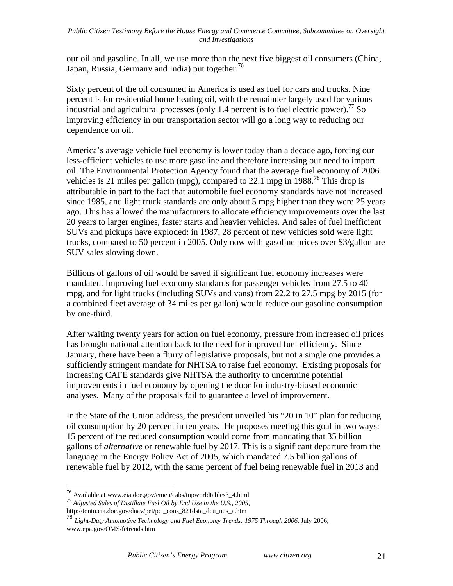our oil and gasoline. In all, we use more than the next five biggest oil consumers (China, Japan, Russia, Germany and India) put together.<sup>76</sup>

Sixty percent of the oil consumed in America is used as fuel for cars and trucks. Nine percent is for residential home heating oil, with the remainder largely used for various industrial and agricultural processes (only 1.4 percent is to fuel electric power).<sup>77</sup> So improving efficiency in our transportation sector will go a long way to reducing our dependence on oil.

America's average vehicle fuel economy is lower today than a decade ago, forcing our less-efficient vehicles to use more gasoline and therefore increasing our need to import oil. The Environmental Protection Agency found that the average fuel economy of 2006 vehicles is 21 miles per gallon (mpg), compared to 22.1 mpg in 1988.<sup>78</sup> This drop is attributable in part to the fact that automobile fuel economy standards have not increased since 1985, and light truck standards are only about 5 mpg higher than they were 25 years ago. This has allowed the manufacturers to allocate efficiency improvements over the last 20 years to larger engines, faster starts and heavier vehicles. And sales of fuel inefficient SUVs and pickups have exploded: in 1987, 28 percent of new vehicles sold were light trucks, compared to 50 percent in 2005. Only now with gasoline prices over \$3/gallon are SUV sales slowing down.

Billions of gallons of oil would be saved if significant fuel economy increases were mandated. Improving fuel economy standards for passenger vehicles from 27.5 to 40 mpg, and for light trucks (including SUVs and vans) from 22.2 to 27.5 mpg by 2015 (for a combined fleet average of 34 miles per gallon) would reduce our gasoline consumption by one-third.

After waiting twenty years for action on fuel economy, pressure from increased oil prices has brought national attention back to the need for improved fuel efficiency. Since January, there have been a flurry of legislative proposals, but not a single one provides a sufficiently stringent mandate for NHTSA to raise fuel economy. Existing proposals for increasing CAFE standards give NHTSA the authority to undermine potential improvements in fuel economy by opening the door for industry-biased economic analyses. Many of the proposals fail to guarantee a level of improvement.

In the State of the Union address, the president unveiled his "20 in 10" plan for reducing oil consumption by 20 percent in ten years. He proposes meeting this goal in two ways: 15 percent of the reduced consumption would come from mandating that 35 billion gallons of *alternative* or renewable fuel by 2017. This is a significant departure from the language in the Energy Policy Act of 2005, which mandated 7.5 billion gallons of renewable fuel by 2012, with the same percent of fuel being renewable fuel in 2013 and

<sup>76</sup> Available at www.eia.doe.gov/emeu/cabs/topworldtables3\_4.html <sup>77</sup> *Adjusted Sales of Distillate Fuel Oil by End Use in the U.S., 2005*,

http://tonto.eia.doe.gov/dnav/pet/pet\_cons\_821dsta\_dcu\_nus\_a.htm

<sup>78</sup> *Light-Duty Automotive Technology and Fuel Economy Trends: 1975 Through 2006*, July 2006, www.epa.gov/OMS/fetrends.htm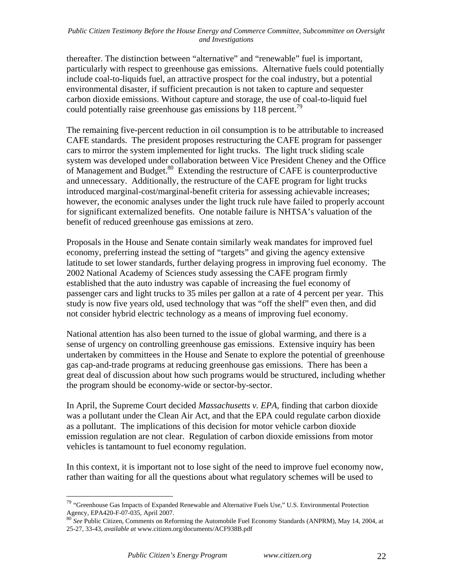thereafter. The distinction between "alternative" and "renewable" fuel is important, particularly with respect to greenhouse gas emissions. Alternative fuels could potentially include coal-to-liquids fuel, an attractive prospect for the coal industry, but a potential environmental disaster, if sufficient precaution is not taken to capture and sequester carbon dioxide emissions. Without capture and storage, the use of coal-to-liquid fuel could potentially raise greenhouse gas emissions by 118 percent.<sup>79</sup>

The remaining five-percent reduction in oil consumption is to be attributable to increased CAFE standards. The president proposes restructuring the CAFE program for passenger cars to mirror the system implemented for light trucks. The light truck sliding scale system was developed under collaboration between Vice President Cheney and the Office of Management and Budget.<sup>80</sup> Extending the restructure of CAFE is counterproductive and unnecessary. Additionally, the restructure of the CAFE program for light trucks introduced marginal-cost/marginal-benefit criteria for assessing achievable increases; however, the economic analyses under the light truck rule have failed to properly account for significant externalized benefits. One notable failure is NHTSA's valuation of the benefit of reduced greenhouse gas emissions at zero.

Proposals in the House and Senate contain similarly weak mandates for improved fuel economy, preferring instead the setting of "targets" and giving the agency extensive latitude to set lower standards, further delaying progress in improving fuel economy. The 2002 National Academy of Sciences study assessing the CAFE program firmly established that the auto industry was capable of increasing the fuel economy of passenger cars and light trucks to 35 miles per gallon at a rate of 4 percent per year. This study is now five years old, used technology that was "off the shelf" even then, and did not consider hybrid electric technology as a means of improving fuel economy.

National attention has also been turned to the issue of global warming, and there is a sense of urgency on controlling greenhouse gas emissions. Extensive inquiry has been undertaken by committees in the House and Senate to explore the potential of greenhouse gas cap-and-trade programs at reducing greenhouse gas emissions. There has been a great deal of discussion about how such programs would be structured, including whether the program should be economy-wide or sector-by-sector.

In April, the Supreme Court decided *Massachusetts v. EPA*, finding that carbon dioxide was a pollutant under the Clean Air Act, and that the EPA could regulate carbon dioxide as a pollutant. The implications of this decision for motor vehicle carbon dioxide emission regulation are not clear. Regulation of carbon dioxide emissions from motor vehicles is tantamount to fuel economy regulation.

In this context, it is important not to lose sight of the need to improve fuel economy now, rather than waiting for all the questions about what regulatory schemes will be used to

<sup>&</sup>lt;sup>79</sup> "Greenhouse Gas Impacts of Expanded Renewable and Alternative Fuels Use," U.S. Environmental Protection Agency, EPA420-F-07-035, April 2007.<br><sup>80</sup> *See* Public Citizen, Comments on Reforming the Automobile Fuel Economy Standards (ANPRM), May 14, 2004, at <sup>80</sup> *See* Public Citizen, Comments on Reforming the Automobile Fuel Eco

<sup>25-27, 33-43,</sup> *available at* www.citizen.org/documents/ACF938B.pdf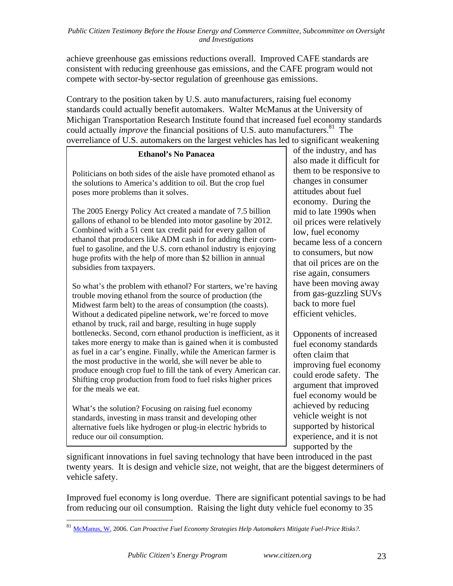achieve greenhouse gas emissions reductions overall. Improved CAFE standards are consistent with reducing greenhouse gas emissions, and the CAFE program would not compete with sector-by-sector regulation of greenhouse gas emissions.

Contrary to the position taken by U.S. auto manufacturers, raising fuel economy standards could actually benefit automakers. Walter McManus at the University of Michigan Transportation Research Institute found that increased fuel economy standards could actually *improve* the financial positions of U.S. auto manufacturers.<sup>81</sup> The overreliance of U.S. automakers on the largest vehicles has led to significant weakening

# **Ethanol's No Panacea**

Politicians on both sides of the aisle have promoted ethanol as the solutions to America's addition to oil. But the crop fuel poses more problems than it solves.

The 2005 Energy Policy Act created a mandate of 7.5 billion gallons of ethanol to be blended into motor gasoline by 2012. Combined with a 51 cent tax credit paid for every gallon of ethanol that producers like ADM cash in for adding their cornfuel to gasoline, and the U.S. corn ethanol industry is enjoying huge profits with the help of more than \$2 billion in annual subsidies from taxpayers.

So what's the problem with ethanol? For starters, we're having trouble moving ethanol from the source of production (the Midwest farm belt) to the areas of consumption (the coasts). Without a dedicated pipeline network, we're forced to move ethanol by truck, rail and barge, resulting in huge supply bottlenecks. Second, corn ethanol production is inefficient, as it takes more energy to make than is gained when it is combusted as fuel in a car's engine. Finally, while the American farmer is the most productive in the world, she will never be able to produce enough crop fuel to fill the tank of every American car. Shifting crop production from food to fuel risks higher prices for the meals we eat.

What's the solution? Focusing on raising fuel economy standards, investing in mass transit and developing other alternative fuels like hydrogen or plug-in electric hybrids to reduce our oil consumption.

of the industry, and has also made it difficult for them to be responsive to changes in consumer attitudes about fuel economy. During the mid to late 1990s when oil prices were relatively low, fuel economy became less of a concern to consumers, but now that oil prices are on the rise again, consumers have been moving away from gas-guzzling SUVs back to more fuel efficient vehicles.

Opponents of increased fuel economy standards often claim that improving fuel economy could erode safety. The argument that improved fuel economy would be achieved by reducing vehicle weight is not supported by historical experience, and it is not supported by the

significant innovations in fuel saving technology that have been introduced in the past twenty years. It is design and vehicle size, not weight, that are the biggest determiners of vehicle safety.

Improved fuel economy is long overdue. There are significant potential savings to be had from reducing our oil consumption. Raising the light duty vehicle fuel economy to 35

<u>.</u>

<sup>81</sup> McManus, W. 2006. *Can Proactive Fuel Economy Strategies Help Automakers Mitigate Fuel-Price Risks?*.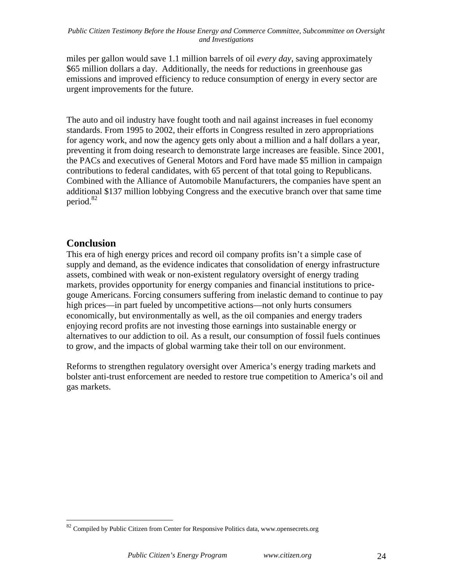miles per gallon would save 1.1 million barrels of oil *every day*, saving approximately \$65 million dollars a day. Additionally, the needs for reductions in greenhouse gas emissions and improved efficiency to reduce consumption of energy in every sector are urgent improvements for the future.

The auto and oil industry have fought tooth and nail against increases in fuel economy standards. From 1995 to 2002, their efforts in Congress resulted in zero appropriations for agency work, and now the agency gets only about a million and a half dollars a year, preventing it from doing research to demonstrate large increases are feasible. Since 2001, the PACs and executives of General Motors and Ford have made \$5 million in campaign contributions to federal candidates, with 65 percent of that total going to Republicans. Combined with the Alliance of Automobile Manufacturers, the companies have spent an additional \$137 million lobbying Congress and the executive branch over that same time period.<sup>82</sup>

# **Conclusion**

<u>.</u>

This era of high energy prices and record oil company profits isn't a simple case of supply and demand, as the evidence indicates that consolidation of energy infrastructure assets, combined with weak or non-existent regulatory oversight of energy trading markets, provides opportunity for energy companies and financial institutions to pricegouge Americans. Forcing consumers suffering from inelastic demand to continue to pay high prices—in part fueled by uncompetitive actions—not only hurts consumers economically, but environmentally as well, as the oil companies and energy traders enjoying record profits are not investing those earnings into sustainable energy or alternatives to our addiction to oil. As a result, our consumption of fossil fuels continues to grow, and the impacts of global warming take their toll on our environment.

Reforms to strengthen regulatory oversight over America's energy trading markets and bolster anti-trust enforcement are needed to restore true competition to America's oil and gas markets.

<sup>&</sup>lt;sup>82</sup> Compiled by Public Citizen from Center for Responsive Politics data, www.opensecrets.org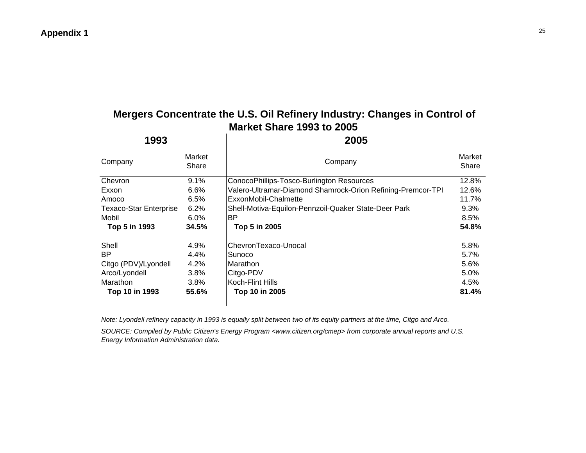# **Mergers Concentrate the U.S. Oil Refinery Industry: Changes in Control of Market Share 1993 to 2005**

| 1993                          |                 | 2005                                                        |                 |  |  |  |  |  |  |
|-------------------------------|-----------------|-------------------------------------------------------------|-----------------|--|--|--|--|--|--|
| Company                       | Market<br>Share | Company                                                     | Market<br>Share |  |  |  |  |  |  |
| Chevron                       | 9.1%            | ConocoPhillips-Tosco-Burlington Resources                   | 12.8%           |  |  |  |  |  |  |
| Exxon                         | 6.6%            | Valero-Ultramar-Diamond Shamrock-Orion Refining-Premcor-TPI | 12.6%           |  |  |  |  |  |  |
| Amoco                         | 6.5%            | ExxonMobil-Chalmette                                        | 11.7%           |  |  |  |  |  |  |
| <b>Texaco-Star Enterprise</b> | 6.2%            | Shell-Motiva-Equilon-Pennzoil-Quaker State-Deer Park        | 9.3%            |  |  |  |  |  |  |
| Mobil                         | $6.0\%$         | ΒP                                                          | 8.5%            |  |  |  |  |  |  |
| Top 5 in 1993                 | 34.5%           | Top 5 in 2005                                               | 54.8%           |  |  |  |  |  |  |
| Shell                         | 4.9%            | ChevronTexaco-Unocal                                        | 5.8%            |  |  |  |  |  |  |
| BP                            | 4.4%            | Sunoco                                                      | 5.7%            |  |  |  |  |  |  |
| Citgo (PDV)/Lyondell          | 4.2%            | Marathon                                                    | 5.6%            |  |  |  |  |  |  |
| Arco/Lyondell                 | 3.8%            | Citgo-PDV                                                   | 5.0%            |  |  |  |  |  |  |
| Marathon                      | 3.8%            | Koch-Flint Hills                                            | 4.5%            |  |  |  |  |  |  |
| Top 10 in 1993                | 55.6%           | Top 10 in 2005                                              | 81.4%           |  |  |  |  |  |  |

*Note: Lyondell refinery capacity in 1993 is equally split between two of its equity partners at the time, Citgo and Arco.*

*SOURCE: Compiled by Public Citizen's Energy Program <www.citizen.org/cmep> from corporate annual reports and U.S. Energy Information Administration data.*